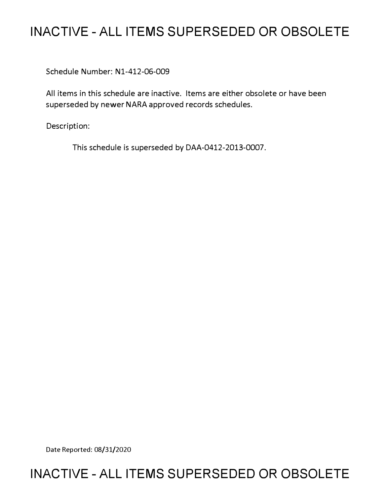# **INACTIVE - ALL ITEMS SUPERSEDED OR OBSOLETE**

Schedule Number: Nl-412-06-009

All items in this schedule are inactive. Items are either obsolete or have been superseded by newer NARA approved records schedules.

Description:

This schedule is superseded by DAA-0412-2013-0007.

Date Reported: 08/31/2020

# **INACTIVE - ALL ITEMS SUPERSEDED OR OBSOLETE**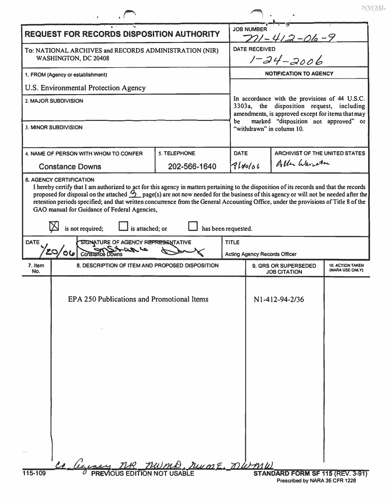|                                                                                |                                                                           |                                              |                                     | <b>JOB NUMBER</b>                                                                                                                                                                              |                                             |                                            |  |
|--------------------------------------------------------------------------------|---------------------------------------------------------------------------|----------------------------------------------|-------------------------------------|------------------------------------------------------------------------------------------------------------------------------------------------------------------------------------------------|---------------------------------------------|--------------------------------------------|--|
| <b>REQUEST FOR RECORDS DISPOSITION AUTHORITY</b>                               |                                                                           |                                              |                                     |                                                                                                                                                                                                | $711 - 412 - 06 - 9$                        |                                            |  |
| To: NATIONAL ARCHIVES and RECORDS ADMINISTRATION (NIR)<br>WASHINGTON, DC 20408 |                                                                           |                                              |                                     | <b>DATE RECEIVED</b><br>$1 - 24 - 2006$                                                                                                                                                        |                                             |                                            |  |
| 1. FROM (Agency or establishment)                                              |                                                                           |                                              |                                     | <b>NOTIFICATION TO AGENCY</b>                                                                                                                                                                  |                                             |                                            |  |
|                                                                                | U.S. Environmental Protection Agency                                      |                                              |                                     |                                                                                                                                                                                                |                                             |                                            |  |
| 2. MAJOR SUBDIVISION                                                           |                                                                           |                                              |                                     | In accordance with the provisions of 44 U.S.C.<br>3303a, the disposition request, including<br>amendments, is approved except for items that may<br>marked "disposition not approved" or<br>be |                                             |                                            |  |
|                                                                                | 3. MINOR SUBDIVISION                                                      |                                              |                                     |                                                                                                                                                                                                | "withdrawn" in column 10.                   |                                            |  |
|                                                                                | 4. NAME OF PERSON WITH WHOM TO CONFER                                     | <b>S. TELEPHONE</b>                          | <b>DATE</b>                         |                                                                                                                                                                                                | <b>ARCHIVIST OF THE UNITED STATES</b>       |                                            |  |
|                                                                                | <b>Constance Downs</b>                                                    | 202-566-1640                                 |                                     | 7140/06                                                                                                                                                                                        | Aller Weighter                              |                                            |  |
|                                                                                |                                                                           | GAO manual for Guidance of Federal Agencies, |                                     |                                                                                                                                                                                                |                                             |                                            |  |
|                                                                                | is not required;<br>is attached; or<br>SIGNATURE OF AGENCY REPRESENTATIVE |                                              | has been requested.<br><b>TITLE</b> |                                                                                                                                                                                                |                                             |                                            |  |
|                                                                                | 20<br>Constance Downs                                                     |                                              |                                     |                                                                                                                                                                                                | <b>Acting Agency Records Officer</b>        |                                            |  |
| 7. Item<br>No.                                                                 | 8. DESCRIPTION OF ITEM AND PROPOSED DISPOSITION                           |                                              |                                     |                                                                                                                                                                                                | 9. GRS OR SUPERSEDED<br><b>JOB CITATION</b> | <b>10. ACTION TAKEN</b><br>(NARA USE ONLY) |  |
|                                                                                | EPA 250 Publications and Promotional Items                                |                                              |                                     |                                                                                                                                                                                                | N1-412-94-2/36                              |                                            |  |
|                                                                                |                                                                           |                                              |                                     |                                                                                                                                                                                                |                                             |                                            |  |
|                                                                                |                                                                           |                                              |                                     |                                                                                                                                                                                                |                                             |                                            |  |
|                                                                                |                                                                           |                                              |                                     |                                                                                                                                                                                                |                                             |                                            |  |
|                                                                                |                                                                           |                                              |                                     |                                                                                                                                                                                                |                                             |                                            |  |
|                                                                                |                                                                           |                                              |                                     |                                                                                                                                                                                                |                                             |                                            |  |
| DATE                                                                           |                                                                           |                                              |                                     |                                                                                                                                                                                                |                                             |                                            |  |
|                                                                                |                                                                           |                                              |                                     |                                                                                                                                                                                                |                                             |                                            |  |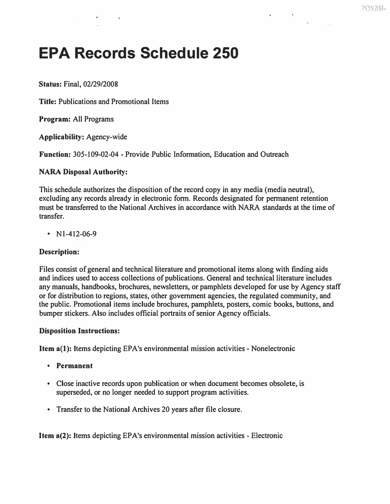# **EPA Records Schedule 250**

**Status: Final, 02/29/2008** 

**Title: Publications and Promotional Items** 

**Program: All Programs** 

**Applicability: Agency-wide** 

**Function: 305-109-02-04 - Provide Public Information, Education and Outreach** 

# **NARA Disposal Authority:**

**This schedule authorizes the disposition of the record copy in any media (media neutral), excluding any records already in electronic form. Records designated for permanent retention must be transferred to the National Archives in accordance with NARA standards at the time of transfer.** 

**• Nl-412-06-9** 

# **Description:**

**Files consist of general and technical literature and promotional items along with finding aids and indices used to access collections of publications. General and technical literature includes any manuals, handbooks, brochures, newsletters, or pamphlets developed for use by Agency staff or for distribution to regions, states, other government agencies, the regulated community, and the public. Promotional items include brochures, pamphlets, posters, comic books, buttons, and bumper stickers. Also includes official portraits of senior Agency officials.** 

# **Disposition Instructions:**

**Item a(l): Items depicting EPA's environmental mission activities - Nonelectronic** 

- **Permanent**
- **Close inactive records upon publication or when document becomes obsolete, is superseded, or no longer needed to support program activities.**
- **Transfer to the National Archives 20 years after file closure.**

**Item a(2): Items depicting EPA's environmental mission activities - Electronic**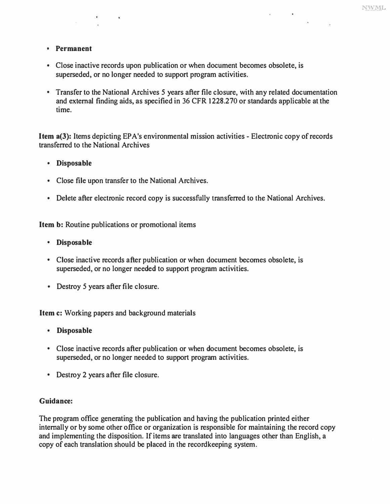#### **• Permanent**

- **Close inactive records upon publication or when document becomes obsolete, is superseded, or no longer needed to support program activities.**
- **Transfer to the National Archives** *5* **years after file closure, with any related documentation and external finding aids, as specified in 36 CFR 1228.270 or standards applicable at the time.**

**Item a(J): Items depicting EPA's environmental mission activities - Electronic copy of records transferred to the National Archives** 

- **Disposable**
- **Close file upon transfer to the National Archives.**
- **Delete after electronic record copy is successfully transferred to the National Archives.**

**Item b: Routine publications or promotional items** 

 $\mathbf{r}$ 

- **Disposable**
- **Close inactive records after publication or when document becomes obsolete, is superseded, or no longer needed to support program activities.**
- **Destroy 5 years after file closure.**

**Item c: Working papers and background materials** 

- **Disposable**
- **Close inactive records after publication or when document becomes obsolete, is superseded, or no longer needed to support program activities.**
- **Destroy 2 years after file closure.**

#### **Guidance:**

**The program office generating the publication and having the publication printed either internally or by some other office or organization is responsible for maintaining the record copy and implementing the disposition. If items are translated into languages other than English, a copy of each translation should be placed in the recordkeeping system.**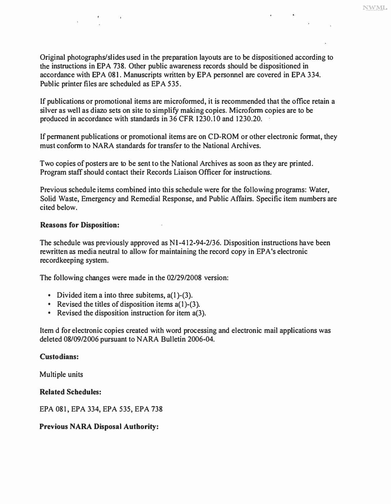NWML

**Original photographs/slides used in the preparation layouts are to be dispositioned according to the instructions in EPA 738. Other public awareness records should be dispositioned in accordance with EPA 081. Manuscripts written by EPA personnel are covered in EPA 334. Public printer files are scheduled as EPA 535.** 

**If publications or promotional items are microformed, it is recommended that the office retain a silver as well as diazo sets on site to simplify making copies. Microform copies are to be**  produced in accordance with standards in 36 CFR 1230.10 and 1230.20.

**If permanent publications or promotional items are on CD-ROM or other electronic format, they must conform to NARA standards for transfer to the National Archives.** 

Two copies of posters are to be sent to the National Archives as soon as they are printed. **Program staff should contact their Records Liaison Officer for instructions.** 

**Previous schedule items combined into this schedule were for the following programs: Water, Solid Waste, Emergency and Remedial Response, and Public Affairs. Specific item numbers are cited below.** 

# **Reasons for Disposition:**

**The schedule was previously approved as N l -412-94-2/36. Disposition instructions have been rewritten as media neutral to allow for maintaining the record copy in EPA's electronic recordkeeping system.** 

**The following changes were made in the 02/29/2008 version:** 

- **Divided item a into three subitems, a(l)-(3).**
- Revised the titles of disposition items a(1)-(3).
- **Revised the disposition instruction for item a(3).**

**Item d for electronic copies created with word processing and electronic mail applications was deleted 08/09/2006 pursuant to NARA Bulletin 2006-04.** 

#### **Custodians:**

**Multiple units** 

#### **Related Schedules:**

**EPA 081, EPA 334, EPA 535, EPA 738** 

# **Previous NARA Disposal Authority:**